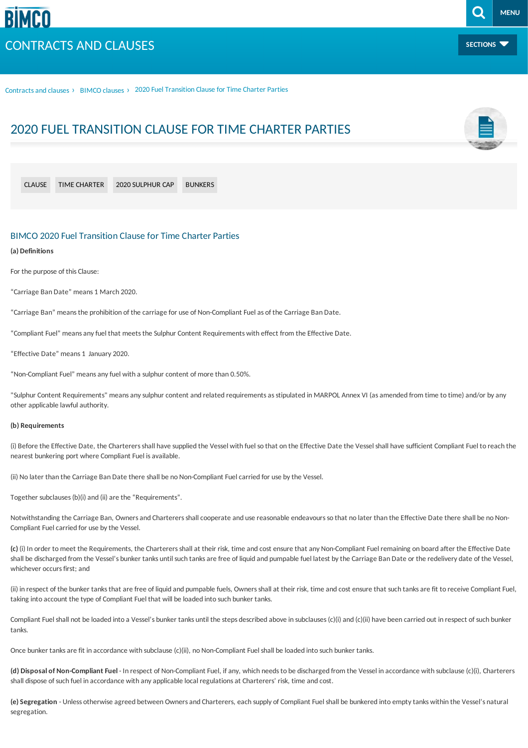**SECTIONS**

Contracts and clauses › [BIMCO](/contracts-and-clauses/bimco-clauses) clauses › 2020 Fuel Transition Clause for Time Charter Parties

# 2020 FUEL TRANSITION CLAUSE FOR TIME CHARTER PARTIES

| <b>CLAUSE</b> | TIME CHARTER | 2020 SULPHUR CAP | <b>BUNKERS</b> |
|---------------|--------------|------------------|----------------|
|               |              |                  |                |

# BIMCO 2020 Fuel Transition Clause for Time Charter Parties

#### **(a) Definitions**

For the purpose of this Clause:

"Carriage Ban Date" means 1 March 2020.

"Carriage Ban" means the prohibition of the carriage for use of Non-Compliant Fuel as of the Carriage Ban Date.

"Compliant Fuel" meansanyfuel that meetsthe Sulphur Content Requirements with effect from the Effective Date.

"Effective Date" means 1 January 2020.

"Non-Compliant Fuel" meansanyfuel with a sulphur content of more than 0.50%.

"Sulphur Content Requirements" means any sulphur content and related requirements as stipulated in MARPOL Annex VI (as amended from time to time) and/or by any other applicable lawful authority.

#### **(b) Requirements**

(i) Before the Effective Date, the Charterersshall have supplied the Vessel with fuel so that on the Effective Date the Vessel shall have sufficient Compliant Fuel to reach the nearest bunkering port where Compliant Fuel is available.

(ii) No later than the Carriage Ban Date there shall be no Non-Compliant Fuel carried for use by the Vessel.

Together subclauses (b)(i) and (ii) are the "Requirements".

Notwithstanding the Carriage Ban, Owners and Charterers shall cooperate and use reasonable endeavours so that no later than the Effective Date there shall be no Non-Compliant Fuel carried for use by the Vessel.

**(c)** (i) In order tomeet the Requirements, the Charterersshallat their risk, time and cost ensure that any Non-Compliant Fuel remaining on board after the Effective Date shall be discharged from the Vessel's bunker tanks until such tanks are free of liquid and pumpable fuel latest by the Carriage Ban Date or the redelivery date of the Vessel, whichever occurs first: and

(ii) in respect of the bunker tanks that are free of liquid and pumpable fuels. Owners shall at their risk, time and cost ensure that such tanks are fit to receive Compliant Fuel, taking into account the type of Compliant Fuel that will be loaded into such bunker tanks.

Compliant Fuel shall not be loaded into a Vessel's bunker tanks until the steps described above in subclauses (c)(i) and (c)(ii) have been carried out in respect of such bunker tanks.

Once bunker tanks are fit in accordance with subclause (c)(ii), no Non-Compliant Fuel shall be loaded into such bunker tanks.

**(d) Disposal of Non-Compliant Fuel** - In respect of Non-Compliant Fuel, ifany, which needsto be discharged from the Vessel in accordance with subclause (c)(i), Charterers shall dispose of such fuel in accordance with any applicable local regulations at Charterers' risk, time and cost.

(e) Segregation - Unless otherwise agreed between Owners and Charterers, each supply of Compliant Fuel shall be bunkered into empty tanks within the Vessel's natural segregation.

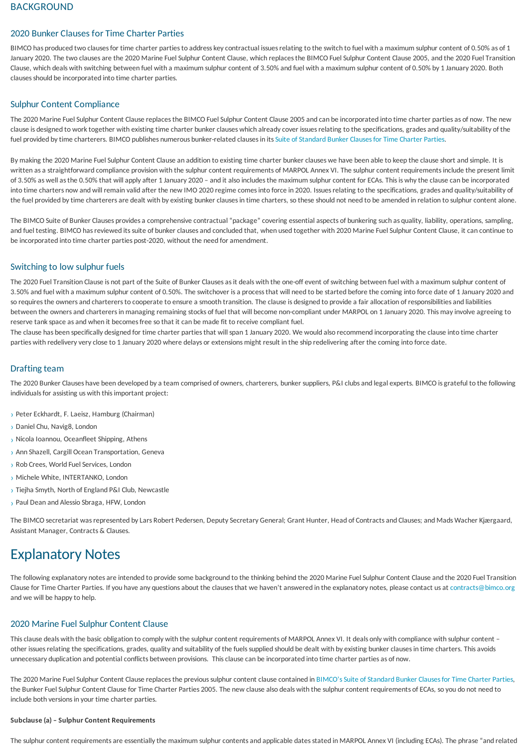# 2020 Bunker Clauses for Time Charter Parties

BIMCO has produced two clauses for time charter parties to address key contractual issues relating to the switch to fuel with a maximum sulphur content of 0.50% as of 1 January 2020. The two clauses are the 2020 Marine Fuel Sulphur Content Clause, which replaces the BIMCO Fuel Sulphur Content Clause 2005, and the 2020 Fuel Transition Clause, which deals with switching between fuel with a maximum sulphur content of 3.50% and fuel with a maximum sulphur content of 0.50% by 1 January 2020. Both clauses should be incorporated into time charter parties.

# Sulphur Content Compliance

The 2020 Marine Fuel Sulphur Content Clause replaces the BIMCO Fuel Sulphur Content Clause 2005 and can be incorporated into time charter parties as of now. The new clause is designed to work together with existing time charter bunker clauses which already cover issues relating to the specifications, grades and quality/suitability of the fuel provided by time charterers. BIMCO publishes numerous bunker-related clauses in its Suite of Standard Bunker Clauses for Time Charter Parties.

By making the 2020 Marine Fuel Sulphur Content Clause an addition to existing time charter bunker clauses we have been able to keep the clause short and simple. It is written as a straightforward compliance provision with the sulphur content requirements of MARPOL Annex VI. The sulphur content requirements include the present limit of 3.50% as well as the 0.50% that will apply after 1 January 2020 - and it also includes the maximum sulphur content for ECAs. This is why the clause can be incorporated into time charters now and will remain valid after the new IMO 2020 regime comes into force in 2020. Issues relating to the specifications, grades and quality/suitability of the fuel provided by time charterers are dealt with by existing bunker clauses in time charters, so these should not need to be amended in relation to sulphur content alone.

The BIMCO Suite of Bunker Clauses provides a comprehensive contractual "package" covering essential aspects of bunkering such as quality, liability, operations, sampling, and fuel testing. BIMCO has reviewed its suite of bunker clauses and concluded that, when used together with 2020 Marine Fuel Sulphur Content Clause, it can continue to be incorporated into time charter parties post-2020, without the need for amendment.

# Switching to low sulphur fuels

The 2020 Fuel Transition Clause is not part of the Suite of Bunker Clauses as it deals with the one-off event of switching between fuel with a maximum sulphur content of 3.50% and fuel with a maximum sulphur content of 0.50%. The switchover isa processthat will need to be started before the coming into force date of 1 January 2020 and so requires the owners and charterers to cooperate to ensure a smooth transition. The clause is designed to provide a fair allocation of responsibilities and liabilities between the owners and charterers in managing remaining stocks of fuel that will become non-compliant under MARPOL on 1 January 2020. This may involve agreeing to reserve tank space as and when it becomes free so that it can be made fit to receive compliant fuel.

The clause has been specifically designed for time charter parties that will span 1 January 2020. We would also recommend incorporating the clause into time charter parties with redelivery very close to 1 January 2020 where delays or extensions might result in the ship redelivering after the coming into force date.

# **Drafting team**

The 2020 Bunker Clauses have been developed by a team comprised of owners, charterers, bunker suppliers, P&I clubs and legal experts. BIMCO is grateful to the following individuals for assisting us with this important project:

- > Peter Eckhardt, F. Laeisz, Hamburg (Chairman)
- › Daniel Chu, Navig8, London
- › Nicola Ioannou, Oceanfleet Shipping, Athens
- › Ann Shazell, Cargill Ocean Transportation, Geneva
- › Rob Crees, World FuelServices, London
- › Michele White, INTERTANKO, London
- › Tiejha Smyth, North ofEngland P&I Club, Newcastle
- › Paul Dean and Alessio Sbraga, HFW, London

The BIMCO secretariat was represented by Lars Robert Pedersen, Deputy Secretary General; Grant Hunter, Head of Contracts and Clauses; and Mads Wacher Kjærgaard, Assistant Manager, Contracts & Clauses.

# Explanatory Notes

The following explanatory notes are intended to provide some background to the thinking behind the 2020 Marine Fuel Sulphur Content Clause and the 2020 Fuel Transition Clause for Time Charter Parties. If you have any questions about the clauses that we haven't answered in the explanatory notes, please contact us at [contracts@bimco.org](mailto:contracts@bimco.org?subject=2020 Bunker Clauses for Time Charter Parties) and we will be happy to help.

# 2020 Marine Fuel Sulphur Content Clause

This clause deals with the basic obligation to comply with the sulphur content requirements of MARPOL Annex VI. It deals only with compliance with sulphur content – other issues relating the specifications, grades, quality and suitability of the fuels supplied should be dealt with by existing bunker clauses in time charters. This avoids unnecessary duplication and potential conflicts between provisions. This clause can be incorporated into time charter parties as of now.

The 2020 Marine Fuel Sulphur Content Clause replaces the previous sulphur content clause contained in BIMCO's Suite of Standard Bunker Clauses for Time Charter Parties, the Bunker Fuel Sulphur Content Clause for Time Charter Parties 2005. The new clause also deals with the sulphur content requirements of ECAs, so you do not need to include both versions in your time charter parties.

#### **Subclause (a) – Sulphur Content Requirements**

The sulphur content requirements are essentially the maximum sulphur contents and applicable dates stated in MARPOL Annex VI (including ECAs). The phrase "and related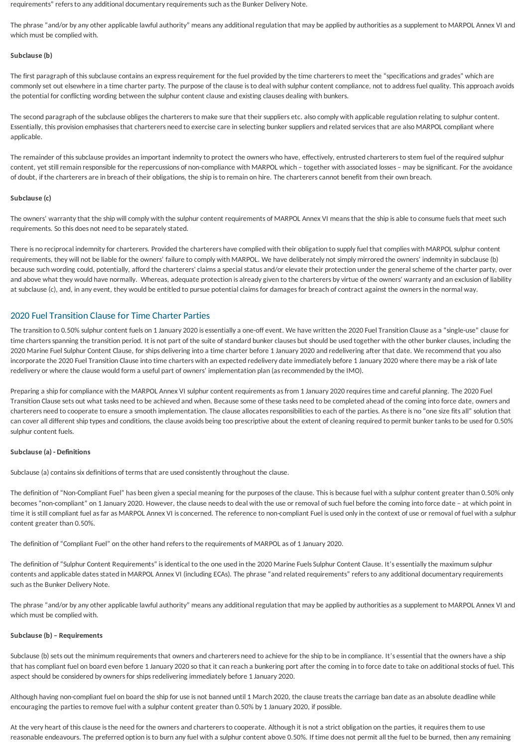<span id="page-2-0"></span>requirements" refersto anyadditional documentaryrequirementssuch asthe Bunker Delivery Note.

The phrase "and/or by any other applicable lawful authority" means any additional regulation that may be applied by authorities as a supplement to MARPOL Annex VI and which must be complied with.

#### **Subclause (b)**

The first paragraph of this subclause contains an express requirement for the fuel provided by the time charterers to meet the "specifications and grades" which are commonly set out elsewhere in a time charter party. The purpose of the clause is to deal with sulphur content compliance, not to address fuel quality. This approach avoids the potential for conflicting wording between the sulphur content clause and existing clauses dealing with bunkers.

The second paragraph of the subclause obliges the charterers to make sure that their suppliers etc. also comply with applicable regulation relating to sulphur content. Essentially, this provision emphasisesthat charterers need to exercise care in selecting bunker suppliersand related servicesthat are alsoMARPOL compliant where applicable.

The remainder of this subclause provides an important indemnity to protect the owners who have, effectively, entrusted charterers to stem fuel of the required sulphur content, yet still remain responsible for the repercussions of non-compliance with MARPOL which – together with associated losses – may be significant. For the avoidance of doubt, if the charterersare in breach of their obligations, the ship isto remain on hire. The chartererscannot benefit from their own breach.

#### **Subclause (c)**

The owners' warranty that the ship will comply with the sulphur content requirements of MARPOL Annex VI means that the ship is able to consume fuels that meet such requirements. So this does not need to be separately stated.

There is no reciprocal indemnity for charterers. Provided the charterers have complied with their obligation to supply fuel that complies with MARPOL sulphur content requirements, they will not be liable for the owners' failure to comply with MARPOL. We have deliberately not simply mirrored the owners' indemnity in subclause (b) because such wording could, potentially, afford the charterers' claims a special status and/or elevate their protection under the general scheme of the charter party, over and above what they would have normally. Whereas, adequate protection is already given to the charterers by virtue of the owners' warranty and an exclusion of liability at subclause (c), and, in any event, they would be entitled to pursue potential claims for damages for breach of contract against the owners in the normal way.

# 2020 Fuel Transition Clause for Time Charter Parties

The transition to 0.50% sulphur content fuels on 1 January 2020 is essentially a one-off event. We have written the 2020 Fuel Transition Clause as a "single-use" clause for time chartersspanning the transition period. It is not part of the suite of standard bunker clauses but should be used together with the other bunker clauses, including the 2020 Marine Fuel Sulphur Content Clause, for ships delivering into a time charter before 1 January 2020 and redelivering after that date. We recommend that you also incorporate the 2020 FuelTransition Clause into time charters with an expected redelivery date immediately before 1 January 2020 where there may be a risk of late redelivery or where the clause would form a useful part of owners' implementation plan (as recommended by the IMO).

Preparing a ship for compliance with the MARPOL Annex VI sulphur content requirements as from 1 January 2020 requires time and careful planning. The 2020 Fuel Transition Clause sets out what tasks need to be achieved and when. Because some of these tasks need to be completed ahead of the coming into force date, owners and charterers need to cooperate to ensure a smooth implementation. The clause allocatesresponsibilitiesto each of the parties. Asthere is no "one size fitsall" solution that can cover all different ship types and conditions, the clause avoids being too prescriptive about the extent of cleaning required to permit bunker tanks to be used for 0.50% sulphur content fuels.

## **Subclause (a) - Definitions**

Subclause (a) contains six definitions of terms that are used consistently throughout the clause.

The definition of "Non-Compliant Fuel" has been given a special meaning for the purposes of the clause. This is because fuel with a sulphur content greater than 0.50% only becomes "non-compliant" on 1 January 2020. However, the clause needs to deal with the use or removal of such fuel before the coming into force date – at which point in time it is still compliant fuel as far as MARPOL Annex VI is concerned. The reference to non-compliant Fuel is used only in the context of use or removal of fuel with a sulphur content greater than 0.50%.

The definition of "Compliant Fuel" on the other hand refers to the requirements of MARPOL as of 1 January 2020.

The definition of "Sulphur Content Requirements" is identical to the one used in the 2020 Marine Fuels Sulphur Content Clause. It's essentially the maximum sulphur contents and applicable dates stated in MARPOL Annex VI (including ECAs). The phrase "and related requirements" refers to any additional documentary requirements such asthe Bunker Delivery Note.

The phrase "and/or by any other applicable lawful authority" means any additional regulation that may be applied by authorities as a supplement to MARPOL Annex VI and which must be complied with.

# **Subclause (b) – Requirements**

Subclause (b) sets out the minimum requirements that owners and charterers need to achieve for the ship to be in compliance. It's essential that the owners have a ship that has compliant fuel on board even before 1 January 2020 so that it can reach a bunkering port after the coming in to force date to take on additional stocks of fuel. This aspect should be considered by owners for ships redelivering immediately before 1 January 2020.

Although having non-compliant fuel on board the ship for use is not banned until 1 March 2020, the clause treats the carriage ban date as an absolute deadline while encouraging the partiesto remove fuel with a sulphur content greater than 0.50% by 1 January 2020, if possible.

At the very heart of this clause is the need for the owners and charterers to cooperate. Although it is not a strict obligation on the parties, it requires them to use reasonable endeavours. The preferred option is to burn any fuel with a sulphur content above 0.50%. If time does not permit all the fuel to be burned, then any remaining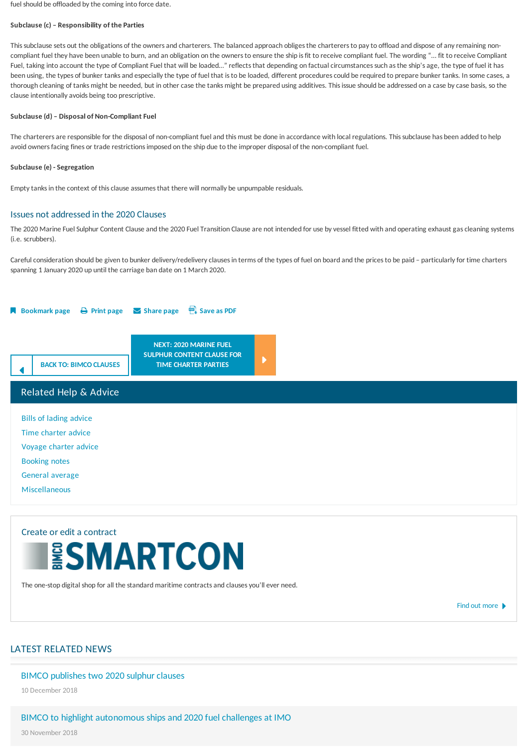fuel should be offloaded by the coming into force date.

#### **Subclause (c) – Responsibility of the Parties**

This subclause sets out the obligations of the owners and charterers. The balanced approach obliges the charterers to pay to offload and dispose of any remaining noncompliant fuel they have been unable to burn, and an obligation on the owners to ensure the ship is fit to receive compliant fuel. The wording "... fit to receive Compliant Fuel, taking into account the type of Compliant Fuel that will be loaded…" reflects that depending on factual circumstances such as the ship's age, the type of fuel it has been using, the types of bunker tanks and especially the type of fuel that is to be loaded, different procedures could be required to prepare bunker tanks. In some cases, a thorough cleaning of tanks might be needed, but in other case the tanks might be prepared using additives. This issue should be addressed on a case by case basis, so the clause intentionallyavoids being too prescriptive.

#### **Subclause (d) – Disposal of Non-Compliant Fuel**

The charterers are responsible for the disposal of non-compliant fuel and this must be done in accordance with local regulations. This subclause has been added to help avoid owners facing fines or trade restrictions imposed on the ship due to the improper disposal of the non-compliant fuel.

#### **Subclause (e) -Segregation**

Empty tanks in the context of this clause assumes that there will normally be unpumpable residuals.

## Issues notaddressed in the 2020 Clauses

The 2020 Marine Fuel Sulphur Content Clause and the 2020 Fuel Transition Clause are not intended for use by vessel fitted with and operating exhaust gas cleaning systems (i.e. scrubbers).

Careful consideration should be given to bunker delivery/redelivery clauses in terms of the types of fuel on board and the prices to be paid - particularly for time charters spanning 1 January 2020 up until the carriage ban date on 1 March 2020.



# Related Help & Advice

Bills of lading [advice](/contracts-and-clauses/chartering-help-and-advice/bills-of-lading-advice/authority_to_sign_bills_of_lading) Time [charter](/contracts-and-clauses/chartering-help-and-advice/time-charter-advice/approval-by-oil-majors) advice [Voyage](/contracts-and-clauses/chartering-help-and-advice/voyage-charter-advice/about_about) charter advice [Booking](/contracts-and-clauses/chartering-help-and-advice/booking-notes-and-waybills/booking-note) notes [General](/contracts-and-clauses/chartering-help-and-advice/general-average/general_average_york-antwerp_rules_2016) average [Miscellaneous](/contracts-and-clauses/chartering-help-and-advice/miscellaneous/recommended_principles)

# Create or edita contract

The one-stop digital shop for all the standard maritime contracts and clauses you'll ever need.

Find out [more](/contracts-and-clauses/create-a-contract)  $\blacktriangleright$ 

# LATEST RELATED NEWS

## BIMCO publishes two 2020 sulphur clauses

10 December 2018

# BIMCO to highlight autonomous ships and 2020 fuel challenges at IMO

30 November 2018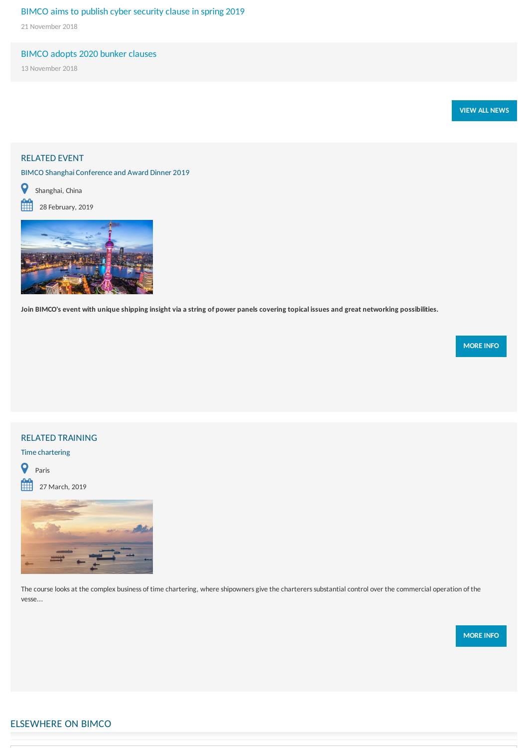# BIMCO aims to publish cyber security clause in spring 2019

21 November 2018

# BIMCO adopts 2020 bunker clauses

13 November 2018



# RELATED EVENT

BIMCO Shanghai Conference and Award Dinner 2019



 $28$  February, 2019



Join BIMCO's event with unique shipping insight via a string of power panels covering topical issues and great networking possibilities.

**[MOREINFO](/events/20190228-bimco-shanghai-2019)**

# RELATED TRAINING

Time chartering



 $27$  March, 2019



The course looks at the complex business of time chartering, where shipowners give the charterers substantial control over the commercial operation of the vesse...

**[MOREINFO](/training/instances/face-to-face/2019/0327_time-charter-masterclass_paris)**

# ELSEWHERE ON BIMCO